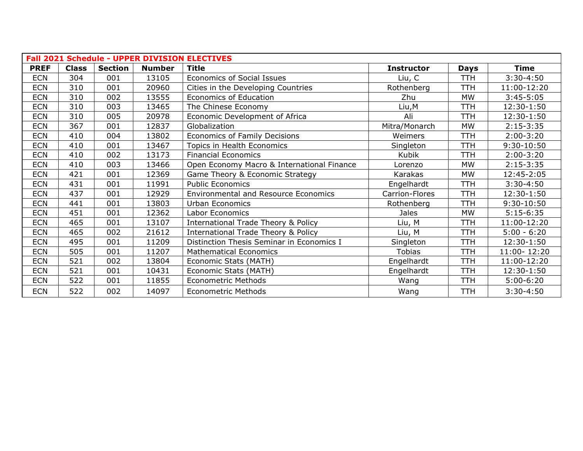| <b>Fall 2021 Schedule - UPPER DIVISION ELECTIVES</b> |              |                |               |                                                |                   |             |               |  |  |
|------------------------------------------------------|--------------|----------------|---------------|------------------------------------------------|-------------------|-------------|---------------|--|--|
| <b>PREF</b>                                          | <b>Class</b> | <b>Section</b> | <b>Number</b> | <b>Title</b>                                   | <b>Instructor</b> | <b>Days</b> | <b>Time</b>   |  |  |
| <b>ECN</b>                                           | 304          | 001            | 13105         | <b>Economics of Social Issues</b>              | Liu, C            | <b>TTH</b>  | $3:30-4:50$   |  |  |
| <b>ECN</b>                                           | 310          | 001            | 20960         | Cities in the Developing Countries             | Rothenberg        | <b>TTH</b>  | 11:00-12:20   |  |  |
| <b>ECN</b>                                           | 310          | 002            | 13555         | <b>Economics of Education</b>                  | Zhu               | <b>MW</b>   | $3:45-5:05$   |  |  |
| <b>ECN</b>                                           | 310          | 003            | 13465         | The Chinese Economy                            | Liu, M            | <b>TTH</b>  | 12:30-1:50    |  |  |
| <b>ECN</b>                                           | 310          | 005            | 20978         | Economic Development of Africa                 | Ali               | <b>TTH</b>  | 12:30-1:50    |  |  |
| <b>ECN</b>                                           | 367          | 001            | 12837         | Globalization                                  | Mitra/Monarch     | <b>MW</b>   | $2:15-3:35$   |  |  |
| <b>ECN</b>                                           | 410          | 004            | 13802         | Economics of Family Decisions                  | Weimers           | <b>TTH</b>  | $2:00-3:20$   |  |  |
| <b>ECN</b>                                           | 410          | 001            | 13467         | Topics in Health Economics                     | Singleton         | <b>TTH</b>  | 9:30-10:50    |  |  |
| <b>ECN</b>                                           | 410          | 002            | 13173         | <b>Financial Economics</b>                     | Kubik             | <b>TTH</b>  | $2:00-3:20$   |  |  |
| <b>ECN</b>                                           | 410          | 003            | 13466         | Open Economy Macro & International Finance     | Lorenzo           | <b>MW</b>   | $2:15-3:35$   |  |  |
| <b>ECN</b>                                           | 421          | 001            | 12369         | Game Theory & Economic Strategy                | Karakas           | MW          | 12:45-2:05    |  |  |
| <b>ECN</b>                                           | 431          | 001            | 11991         | <b>Public Economics</b>                        | Engelhardt        | <b>TTH</b>  | $3:30-4:50$   |  |  |
| <b>ECN</b>                                           | 437          | 001            | 12929         | <b>Environmental and Resource Economics</b>    | Carrion-Flores    | <b>TTH</b>  | 12:30-1:50    |  |  |
| <b>ECN</b>                                           | 441          | 001            | 13803         | Urban Economics                                | Rothenberg        | <b>TTH</b>  | $9:30-10:50$  |  |  |
| <b>ECN</b>                                           | 451          | 001            | 12362         | Labor Economics                                | <b>Jales</b>      | <b>MW</b>   | $5:15-6:35$   |  |  |
| <b>ECN</b>                                           | 465          | 001            | 13107         | <b>International Trade Theory &amp; Policy</b> | Liu, M            | <b>TTH</b>  | 11:00-12:20   |  |  |
| <b>ECN</b>                                           | 465          | 002            | 21612         | <b>International Trade Theory &amp; Policy</b> | Liu, M            | <b>TTH</b>  | $5:00 - 6:20$ |  |  |
| <b>ECN</b>                                           | 495          | 001            | 11209         | Distinction Thesis Seminar in Economics I      | Singleton         | <b>TTH</b>  | 12:30-1:50    |  |  |
| <b>ECN</b>                                           | 505          | 001            | 11207         | <b>Mathematical Economics</b>                  | <b>Tobias</b>     | <b>TTH</b>  | 11:00-12:20   |  |  |
| <b>ECN</b>                                           | 521          | 002            | 13804         | Economic Stats (MATH)                          | Engelhardt        | <b>TTH</b>  | 11:00-12:20   |  |  |
| <b>ECN</b>                                           | 521          | 001            | 10431         | Economic Stats (MATH)                          | Engelhardt        | <b>TTH</b>  | 12:30-1:50    |  |  |
| <b>ECN</b>                                           | 522          | 001            | 11855         | <b>Econometric Methods</b>                     | Wang              | <b>TTH</b>  | $5:00-6:20$   |  |  |
| <b>ECN</b>                                           | 522          | 002            | 14097         | <b>Econometric Methods</b>                     | Wang              | <b>TTH</b>  | $3:30-4:50$   |  |  |